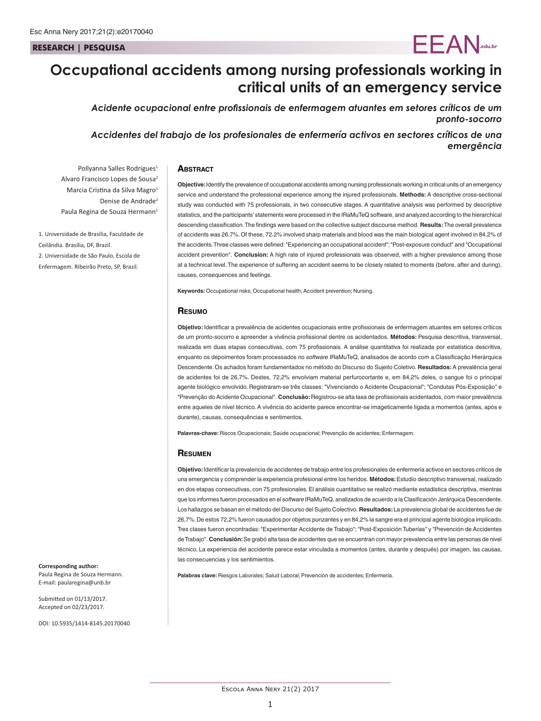#### **RESEARCH | PESQUISA**

# **Occupational accidents among nursing professionals working in critical units of an emergency service**

*Acidente ocupacional entre profissionais de enfermagem atuantes em setores críticos de um pronto-socorro*

*Accidentes del trabajo de los profesionales de enfermería activos en sectores críticos de una emergência*

#### **ABSTRACT**

Pollyanna Salles Rodrigues<sup>1</sup> Alvaro Francisco Lopes de Sousa2 Marcia Cristina da Silva Magro<sup>1</sup> Denise de Andrade<sup>2</sup> Paula Regina de Souza Hermann<sup>1</sup>

1. Universidade de Brasília, Faculdade de Ceilândia. Brasília, DF, Brazil. 2. Universidade de São Paulo, Escola de Enfermagem. Ribeirão Preto, SP, Brazil.

**Objective:** Identify the prevalence of occupational accidents among nursing professionals working in critical units of an emergency service and understand the professional experience among the injured professionals. **Methods:** A descriptive cross-sectional study was conducted with 75 professionals, in two consecutive stages. A quantitative analysis was performed by descriptive statistics, and the participants' statements were processed in the IRaMuTeQ software, and analyzed according to the hierarchical descending classification. The findings were based on the collective subject discourse method. **Results:** The overall prevalence of accidents was 26.7%. Of these, 72.2% involved sharp materials and blood was the main biological agent involved in 84.2% of the accidents. Three classes were defined: "Experiencing an occupational accident"; "Post-exposure conduct" and "Occupational accident prevention". **Conclusion:** A high rate of injured professionals was observed, with a higher prevalence among those at a technical level. The experience of suffering an accident seems to be closely related to moments (before, after and during), causes, consequences and feelings.

EEAN**.edu.br**

**Keywords:** Occupational risks; Occupational health; Accident prevention; Nursing.

#### **Resumo**

**Objetivo:** Identificar a prevalência de acidentes ocupacionais entre profissionais de enfermagem atuantes em setores críticos de um pronto-socorro e apreender a vivência profissional dentre os acidentados. **Métodos:** Pesquisa descritiva, transversal, realizada em duas etapas consecutivas, com 75 profissionais. A análise quantitativa foi realizada por estatística descritiva, enquanto os depoimentos foram processados no *software* IRaMuTeQ, analisados de acordo com a Classificação Hierárquica Descendente. Os achados foram fundamentados no método do Discurso do Sujeito Coletivo. **Resultados:** A prevalência geral de acidentes foi de 26,7%. Destes, 72,2% envolviam material perfurocortante e, em 84,2% deles, o sangue foi o principal agente biológico envolvido. Registraram-se três classes: "Vivenciando o Acidente Ocupacional"; "Condutas Pós-Exposição" e "Prevenção do Acidente Ocupacional". **Conclusão:** Registrou-se alta taxa de profissionais acidentados, com maior prevalência entre aqueles de nível técnico. A vivência do acidente parece encontrar-se imageticamente ligada a momentos (antes, após e durante), causas, consequências e sentimentos.

**Palavras-chave:** Riscos Ocupacionais; Saúde ocupacional; Prevenção de acidentes; Enfermagem.

#### **Resumen**

**Objetivo:** Identificar la prevalencia de accidentes de trabajo entre los profesionales de enfermería activos en sectores críticos de una emergencia y comprender la experiencia profesional entre los heridos. **Métodos:** Estudio descriptivo transversal, realizado en dos etapas consecutivas, con 75 profesionales. El análisis cuantitativo se realizó mediante estadística descriptiva, mientras que los informes fueron procesados en el *software* IRaMuTeQ, analizados de acuerdo a la Clasificación Jerárquica Descendente. Los hallazgos se basan en el método del Discurso del Sujeto Colectivo. **Resultados:** La prevalencia global de accidentes fue de 26,7%. De estos 72,2% fueron causados por objetos punzantes y en 84,2% la sangre era el principal agente biológica implicado. Tres clases fueron encontradas: "Experimentar Accidente de Trabajo"; "Post-Exposición Tuberías" y "Prevención de Accidentes de Trabajo". **Conclusión:** Se grabó alta tasa de accidentes que se encuentran con mayor prevalencia entre las personas de nivel técnico. La experiencia del accidente parece estar vinculada a momentos (antes, durante y después) por imagen, las causas, las consecuencias y los sentimientos.

**Palabras clave:** Riesgos Laborales; Salud Laboral; Prevención de accidentes; Enfermería.

**Corresponding author:** Paula Regina de Souza Hermann.

E-mail: paularegina@unb.br

Submitted on 01/13/2017. Accepted on 02/23/2017.

DOI: 10.5935/1414-8145.20170040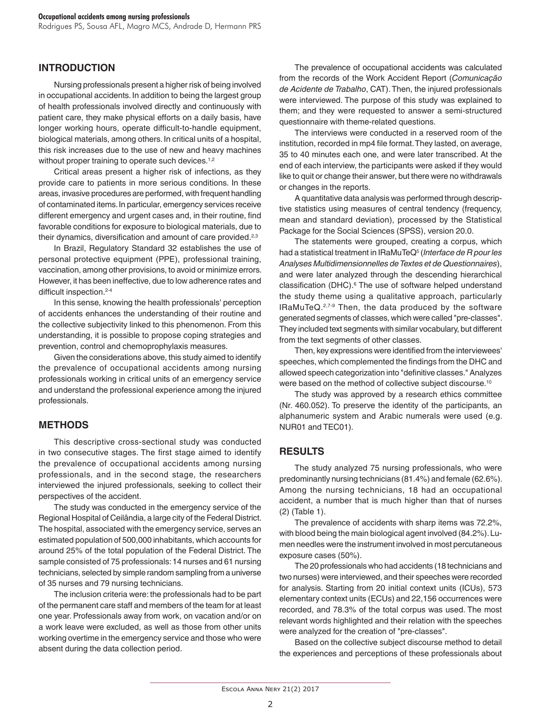Rodrigues PS, Sousa AFL, Magro MCS, Andrade D, Hermann PRS

### **INTRODUCTION**

Nursing professionals present a higher risk of being involved in occupational accidents. In addition to being the largest group of health professionals involved directly and continuously with patient care, they make physical efforts on a daily basis, have longer working hours, operate difficult-to-handle equipment, biological materials, among others. In critical units of a hospital, this risk increases due to the use of new and heavy machines without proper training to operate such devices.<sup>1,2</sup>

Critical areas present a higher risk of infections, as they provide care to patients in more serious conditions. In these areas, invasive procedures are performed, with frequent handling of contaminated items. In particular, emergency services receive different emergency and urgent cases and, in their routine, find favorable conditions for exposure to biological materials, due to their dynamics, diversification and amount of care provided.<sup>2,3</sup>

In Brazil, Regulatory Standard 32 establishes the use of personal protective equipment (PPE), professional training, vaccination, among other provisions, to avoid or minimize errors. However, it has been ineffective, due to low adherence rates and difficult inspection.<sup>2-4</sup>

In this sense, knowing the health professionals' perception of accidents enhances the understanding of their routine and the collective subjectivity linked to this phenomenon. From this understanding, it is possible to propose coping strategies and prevention, control and chemoprophylaxis measures.

Given the considerations above, this study aimed to identify the prevalence of occupational accidents among nursing professionals working in critical units of an emergency service and understand the professional experience among the injured professionals.

#### **METHODS**

This descriptive cross-sectional study was conducted in two consecutive stages. The first stage aimed to identify the prevalence of occupational accidents among nursing professionals, and in the second stage, the researchers interviewed the injured professionals, seeking to collect their perspectives of the accident.

The study was conducted in the emergency service of the Regional Hospital of Ceilândia, a large city of the Federal District. The hospital, associated with the emergency service, serves an estimated population of 500,000 inhabitants, which accounts for around 25% of the total population of the Federal District. The sample consisted of 75 professionals: 14 nurses and 61 nursing technicians, selected by simple random sampling from a universe of 35 nurses and 79 nursing technicians.

The inclusion criteria were: the professionals had to be part of the permanent care staff and members of the team for at least one year. Professionals away from work, on vacation and/or on a work leave were excluded, as well as those from other units working overtime in the emergency service and those who were absent during the data collection period.

The prevalence of occupational accidents was calculated from the records of the Work Accident Report (*Comunicação de Acidente de Trabalho*, CAT). Then, the injured professionals were interviewed. The purpose of this study was explained to them; and they were requested to answer a semi-structured questionnaire with theme-related questions.

The interviews were conducted in a reserved room of the institution, recorded in mp4 file format. They lasted, on average, 35 to 40 minutes each one, and were later transcribed. At the end of each interview, the participants were asked if they would like to quit or change their answer, but there were no withdrawals or changes in the reports.

A quantitative data analysis was performed through descriptive statistics using measures of central tendency (frequency, mean and standard deviation), processed by the Statistical Package for the Social Sciences (SPSS), version 20.0.

The statements were grouped, creating a corpus, which had a statistical treatment in IRaMuTeQ5 (*Interface de R pour les Analyses Multidimensionnelles de Textes et de Questionnaires*), and were later analyzed through the descending hierarchical classification (DHC).<sup>6</sup> The use of software helped understand the study theme using a qualitative approach, particularly IRaMuTeQ.2,7-9 Then, the data produced by the software generated segments of classes, which were called "pre-classes". They included text segments with similar vocabulary, but different from the text segments of other classes.

Then, key expressions were identified from the interviewees' speeches, which complemented the findings from the DHC and allowed speech categorization into "definitive classes." Analyzes were based on the method of collective subject discourse.<sup>10</sup>

The study was approved by a research ethics committee (Nr. 460.052). To preserve the identity of the participants, an alphanumeric system and Arabic numerals were used (e.g. NUR01 and TEC01).

### **RESULTS**

The study analyzed 75 nursing professionals, who were predominantly nursing technicians (81.4%) and female (62.6%). Among the nursing technicians, 18 had an occupational accident, a number that is much higher than that of nurses (2) (Table 1).

The prevalence of accidents with sharp items was 72.2%, with blood being the main biological agent involved (84.2%). Lumen needles were the instrument involved in most percutaneous exposure cases (50%).

The 20 professionals who had accidents (18 technicians and two nurses) were interviewed, and their speeches were recorded for analysis. Starting from 20 initial context units (ICUs), 573 elementary context units (ECUs) and 22,156 occurrences were recorded, and 78.3% of the total corpus was used. The most relevant words highlighted and their relation with the speeches were analyzed for the creation of "pre-classes".

Based on the collective subject discourse method to detail the experiences and perceptions of these professionals about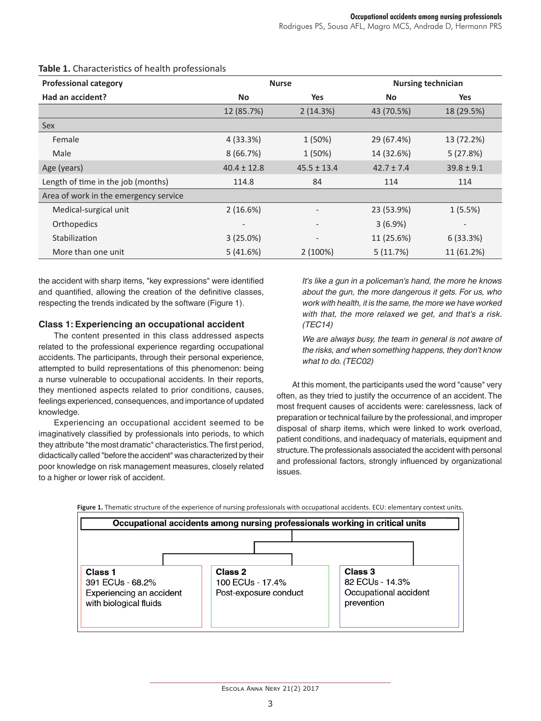| <b>Professional category</b>          | <b>Nurse</b>             |                 | <b>Nursing technician</b> |                          |
|---------------------------------------|--------------------------|-----------------|---------------------------|--------------------------|
| Had an accident?                      | <b>No</b>                | <b>Yes</b>      | <b>No</b>                 | Yes                      |
|                                       | 12 (85.7%)               | 2(14.3%)        | 43 (70.5%)                | 18 (29.5%)               |
| Sex                                   |                          |                 |                           |                          |
| Female                                | 4(33.3%)                 | 1 (50%)         | 29 (67.4%)                | 13 (72.2%)               |
| Male                                  | 8(66.7%)                 | 1 (50%)         | 14 (32.6%)                | 5(27.8%)                 |
| Age (years)                           | $40.4 \pm 12.8$          | $45.5 \pm 13.4$ | $42.7 \pm 7.4$            | $39.8 \pm 9.1$           |
| Length of time in the job (months)    | 114.8                    | 84              | 114                       | 114                      |
| Area of work in the emergency service |                          |                 |                           |                          |
| Medical-surgical unit                 | 2(16.6%)                 |                 | 23 (53.9%)                | 1(5.5%)                  |
| Orthopedics                           | $\overline{\phantom{a}}$ |                 | 3(6.9%)                   | $\overline{\phantom{a}}$ |
| Stabilization                         | $3(25.0\%)$              |                 | 11 (25.6%)                | 6(33.3%)                 |
| More than one unit                    | 5(41.6%)                 | 2(100%)         | 5(11.7%)                  | 11 (61.2%)               |

## **Table 1.** Characteristics of health professionals

the accident with sharp items, "key expressions" were identified and quantified, allowing the creation of the definitive classes, respecting the trends indicated by the software (Figure 1).

## **Class 1: Experiencing an occupational accident**

The content presented in this class addressed aspects related to the professional experience regarding occupational accidents. The participants, through their personal experience, attempted to build representations of this phenomenon: being a nurse vulnerable to occupational accidents. In their reports, they mentioned aspects related to prior conditions, causes, feelings experienced, consequences, and importance of updated knowledge.

Experiencing an occupational accident seemed to be imaginatively classified by professionals into periods, to which they attribute "the most dramatic" characteristics. The first period, didactically called "before the accident" was characterized by their poor knowledge on risk management measures, closely related to a higher or lower risk of accident.

*It's like a gun in a policeman's hand, the more he knows about the gun, the more dangerous it gets. For us, who work with health, it is the same, the more we have worked with that, the more relaxed we get, and that's a risk. (TEC14)*

*We are always busy, the team in general is not aware of the risks, and when something happens, they don't know what to do. (TEC02)*

At this moment, the participants used the word "cause" very often, as they tried to justify the occurrence of an accident. The most frequent causes of accidents were: carelessness, lack of preparation or technical failure by the professional, and improper disposal of sharp items, which were linked to work overload, patient conditions, and inadequacy of materials, equipment and structure. The professionals associated the accident with personal and professional factors, strongly influenced by organizational issues.



**Figure 1.** Thematic structure of the experience of nursing professionals with occupational accidents. ECU: elementary context units.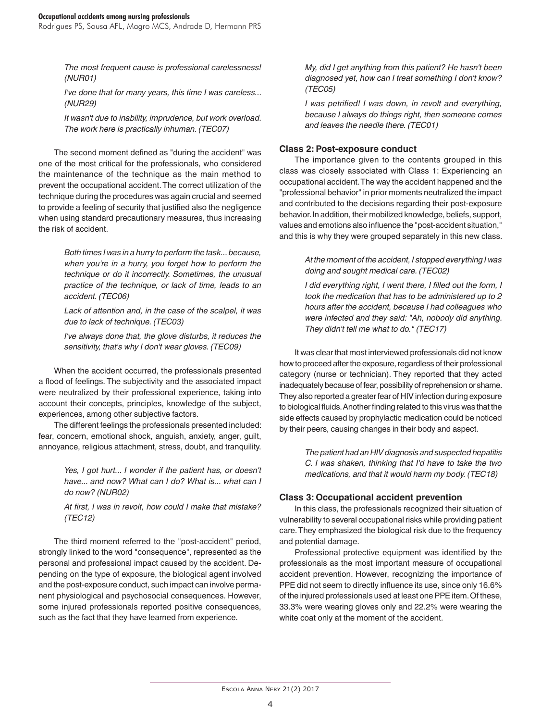Rodrigues PS, Sousa AFL, Magro MCS, Andrade D, Hermann PRS

*The most frequent cause is professional carelessness! (NUR01)*

*I've done that for many years, this time I was careless... (NUR29)*

*It wasn't due to inability, imprudence, but work overload. The work here is practically inhuman. (TEC07)*

The second moment defined as "during the accident" was one of the most critical for the professionals, who considered the maintenance of the technique as the main method to prevent the occupational accident. The correct utilization of the technique during the procedures was again crucial and seemed to provide a feeling of security that justified also the negligence when using standard precautionary measures, thus increasing the risk of accident.

> *Both times I was in a hurry to perform the task... because, when you're in a hurry, you forget how to perform the technique or do it incorrectly. Sometimes, the unusual practice of the technique, or lack of time, leads to an accident. (TEC06)*

> *Lack of attention and, in the case of the scalpel, it was due to lack of technique. (TEC03)*

> *I've always done that, the glove disturbs, it reduces the sensitivity, that's why I don't wear gloves. (TEC09)*

When the accident occurred, the professionals presented a flood of feelings. The subjectivity and the associated impact were neutralized by their professional experience, taking into account their concepts, principles, knowledge of the subject, experiences, among other subjective factors.

The different feelings the professionals presented included: fear, concern, emotional shock, anguish, anxiety, anger, guilt, annoyance, religious attachment, stress, doubt, and tranquility.

> *Yes, I got hurt... I wonder if the patient has, or doesn't have... and now? What can I do? What is... what can I do now? (NUR02)*

> *At first, I was in revolt, how could I make that mistake? (TEC12)*

The third moment referred to the "post-accident" period, strongly linked to the word "consequence", represented as the personal and professional impact caused by the accident. Depending on the type of exposure, the biological agent involved and the post-exposure conduct, such impact can involve permanent physiological and psychosocial consequences. However, some injured professionals reported positive consequences, such as the fact that they have learned from experience.

*My, did I get anything from this patient? He hasn't been diagnosed yet, how can I treat something I don't know? (TEC05)*

*I was petrified! I was down, in revolt and everything, because I always do things right, then someone comes and leaves the needle there. (TEC01)*

#### **Class 2: Post-exposure conduct**

The importance given to the contents grouped in this class was closely associated with Class 1: Experiencing an occupational accident. The way the accident happened and the "professional behavior" in prior moments neutralized the impact and contributed to the decisions regarding their post-exposure behavior. In addition, their mobilized knowledge, beliefs, support, values and emotions also influence the "post-accident situation," and this is why they were grouped separately in this new class.

> *At the moment of the accident, I stopped everything I was doing and sought medical care. (TEC02)*

> *I did everything right, I went there, I filled out the form, I took the medication that has to be administered up to 2 hours after the accident, because I had colleagues who were infected and they said: "Ah, nobody did anything. They didn't tell me what to do." (TEC17)*

It was clear that most interviewed professionals did not know how to proceed after the exposure, regardless of their professional category (nurse or technician). They reported that they acted inadequately because of fear, possibility of reprehension or shame. They also reported a greater fear of HIV infection during exposure to biological fluids. Another finding related to this virus was that the side effects caused by prophylactic medication could be noticed by their peers, causing changes in their body and aspect.

> *The patient had an HIV diagnosis and suspected hepatitis C. I was shaken, thinking that I'd have to take the two medications, and that it would harm my body. (TEC18)*

#### **Class 3: Occupational accident prevention**

In this class, the professionals recognized their situation of vulnerability to several occupational risks while providing patient care. They emphasized the biological risk due to the frequency and potential damage.

Professional protective equipment was identified by the professionals as the most important measure of occupational accident prevention. However, recognizing the importance of PPE did not seem to directly influence its use, since only 16.6% of the injured professionals used at least one PPE item. Of these, 33.3% were wearing gloves only and 22.2% were wearing the white coat only at the moment of the accident.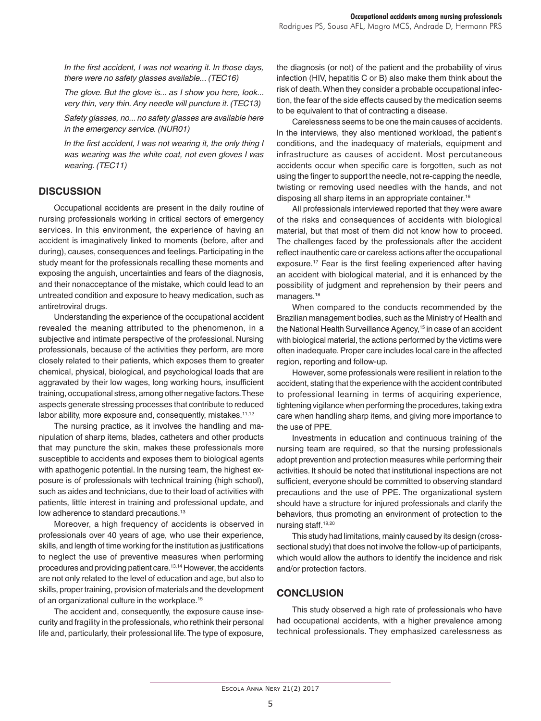*In the first accident, I was not wearing it. In those days, there were no safety glasses available... (TEC16)*

*The glove. But the glove is... as I show you here, look... very thin, very thin. Any needle will puncture it. (TEC13)*

*Safety glasses, no... no safety glasses are available here in the emergency service. (NUR01)*

In the first accident, I was not wearing it, the only thing I *was wearing was the white coat, not even gloves I was wearing. (TEC11)*

## **DISCUSSION**

Occupational accidents are present in the daily routine of nursing professionals working in critical sectors of emergency services. In this environment, the experience of having an accident is imaginatively linked to moments (before, after and during), causes, consequences and feelings. Participating in the study meant for the professionals recalling these moments and exposing the anguish, uncertainties and fears of the diagnosis, and their nonacceptance of the mistake, which could lead to an untreated condition and exposure to heavy medication, such as antiretroviral drugs.

Understanding the experience of the occupational accident revealed the meaning attributed to the phenomenon, in a subjective and intimate perspective of the professional. Nursing professionals, because of the activities they perform, are more closely related to their patients, which exposes them to greater chemical, physical, biological, and psychological loads that are aggravated by their low wages, long working hours, insufficient training, occupational stress, among other negative factors. These aspects generate stressing processes that contribute to reduced labor ability, more exposure and, consequently, mistakes.<sup>11,12</sup>

The nursing practice, as it involves the handling and manipulation of sharp items, blades, catheters and other products that may puncture the skin, makes these professionals more susceptible to accidents and exposes them to biological agents with apathogenic potential. In the nursing team, the highest exposure is of professionals with technical training (high school), such as aides and technicians, due to their load of activities with patients, little interest in training and professional update, and low adherence to standard precautions.<sup>13</sup>

Moreover, a high frequency of accidents is observed in professionals over 40 years of age, who use their experience, skills, and length of time working for the institution as justifications to neglect the use of preventive measures when performing procedures and providing patient care.13,14 However, the accidents are not only related to the level of education and age, but also to skills, proper training, provision of materials and the development of an organizational culture in the workplace.15

The accident and, consequently, the exposure cause insecurity and fragility in the professionals, who rethink their personal life and, particularly, their professional life. The type of exposure,

the diagnosis (or not) of the patient and the probability of virus infection (HIV, hepatitis C or B) also make them think about the risk of death. When they consider a probable occupational infection, the fear of the side effects caused by the medication seems to be equivalent to that of contracting a disease.

Carelessness seems to be one the main causes of accidents. In the interviews, they also mentioned workload, the patient's conditions, and the inadequacy of materials, equipment and infrastructure as causes of accident. Most percutaneous accidents occur when specific care is forgotten, such as not using the finger to support the needle, not re-capping the needle, twisting or removing used needles with the hands, and not disposing all sharp items in an appropriate container.<sup>16</sup>

All professionals interviewed reported that they were aware of the risks and consequences of accidents with biological material, but that most of them did not know how to proceed. The challenges faced by the professionals after the accident reflect inauthentic care or careless actions after the occupational exposure.<sup>17</sup> Fear is the first feeling experienced after having an accident with biological material, and it is enhanced by the possibility of judgment and reprehension by their peers and managers.<sup>18</sup>

When compared to the conducts recommended by the Brazilian management bodies, such as the Ministry of Health and the National Health Surveillance Agency,<sup>15</sup> in case of an accident with biological material, the actions performed by the victims were often inadequate. Proper care includes local care in the affected region, reporting and follow-up.

However, some professionals were resilient in relation to the accident, stating that the experience with the accident contributed to professional learning in terms of acquiring experience, tightening vigilance when performing the procedures, taking extra care when handling sharp items, and giving more importance to the use of PPE.

Investments in education and continuous training of the nursing team are required, so that the nursing professionals adopt prevention and protection measures while performing their activities. It should be noted that institutional inspections are not sufficient, everyone should be committed to observing standard precautions and the use of PPE. The organizational system should have a structure for injured professionals and clarify the behaviors, thus promoting an environment of protection to the nursing staff.19,20

This study had limitations, mainly caused by its design (crosssectional study) that does not involve the follow-up of participants, which would allow the authors to identify the incidence and risk and/or protection factors.

### **CONCLUSION**

This study observed a high rate of professionals who have had occupational accidents, with a higher prevalence among technical professionals. They emphasized carelessness as